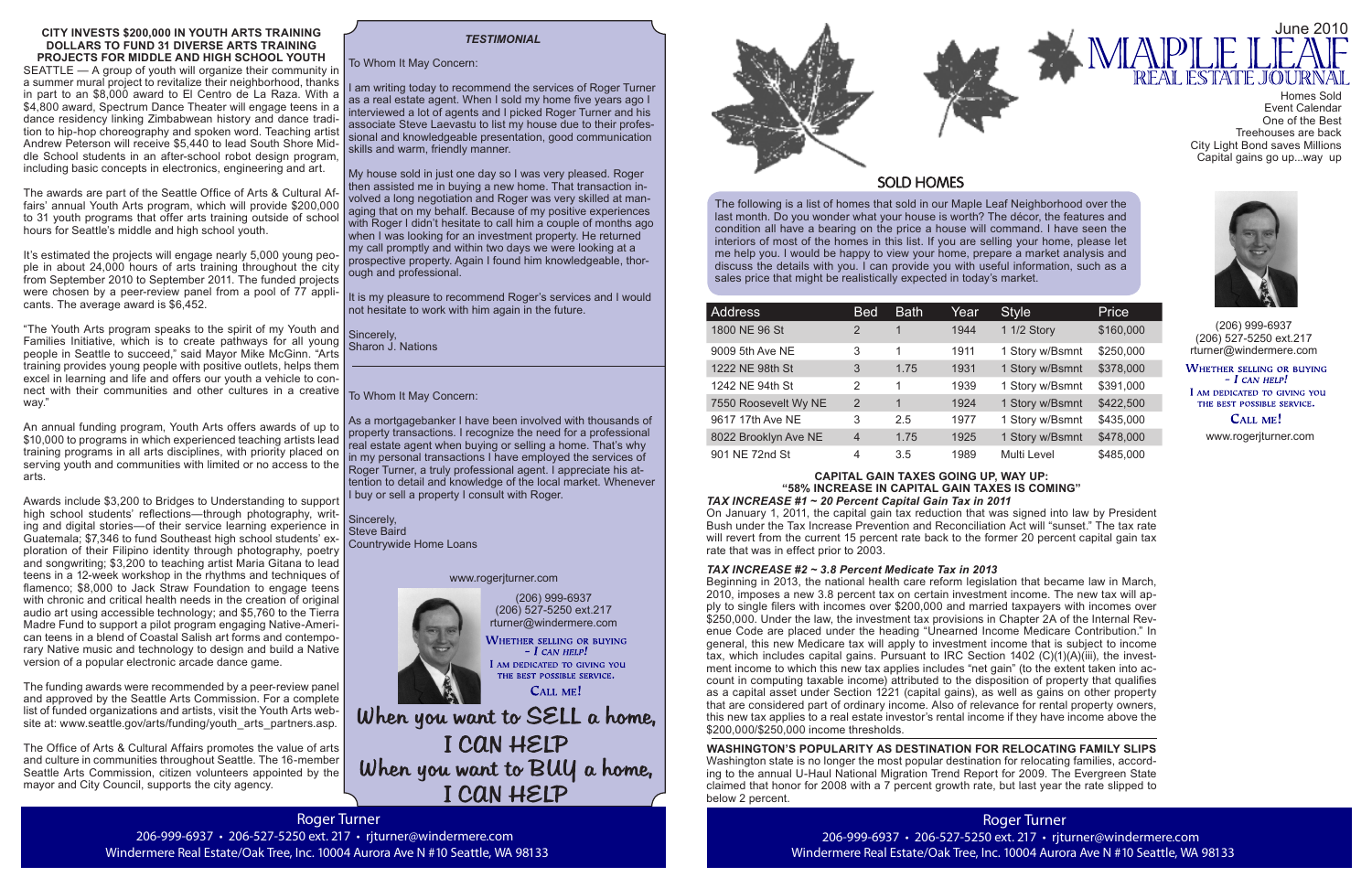Roger Turner 206-999-6937 • 206-527-5250 ext. 217 • rjturner@windermere.com Windermere Real Estate/Oak Tree, Inc. 10004 Aurora Ave N #10 Seattle, WA 98133

The following is a list of homes that sold in our Maple Leaf Neighborhood over the last month. Do you wonder what your house is worth? The décor, the features and condition all have a bearing on the price a house will command. I have seen the interiors of most of the homes in this list. If you are selling your home, please let me help you. I would be happy to view your home, prepare a market analysis and discuss the details with you. I can provide you with useful information, such as a sales price that might be realistically expected in today's market.

(206) 999-6937 (206) 527-5250 ext.217 rturner@windermere.com

WHETHER SELLING OR BUYING  $-$  I can help! I AM DEDICATED TO GIVING YOU THE BEST POSSIBLE SERVICE.

CALL ME!

When you want to SELL a home, I CAN HELP When you want to BUY a home, I CAN HELP

| <b>Address</b>       | <b>Bed</b>     | <b>Bath</b>          | Year | <b>Style</b>    | Price     |
|----------------------|----------------|----------------------|------|-----------------|-----------|
| 1800 NE 96 St        | 2              |                      | 1944 | 1 1/2 Story     | \$160,000 |
| 9009 5th Ave NE      | 3              | 1                    | 1911 | 1 Story w/Bsmnt | \$250,000 |
| 1222 NE 98th St      | 3              | 1.75                 | 1931 | 1 Story w/Bsmnt | \$378,000 |
| 1242 NE 94th St      | 2              | 1                    | 1939 | 1 Story w/Bsmnt | \$391,000 |
| 7550 Roosevelt Wy NE | $\overline{2}$ | $\blacktriangleleft$ | 1924 | 1 Story w/Bsmnt | \$422,500 |
| 9617 17th Ave NE     | 3              | 2.5                  | 1977 | 1 Story w/Bsmnt | \$435,000 |
| 8022 Brooklyn Ave NE | $\overline{4}$ | 1.75                 | 1925 | 1 Story w/Bsmnt | \$478,000 |
| 901 NE 72nd St       | 4              | 3.5                  | 1989 | Multi Level     | \$485,000 |

It is my pleasure to recommend Roger's services and I would not hesitate to work with him again in the future.

> (206) 999-6937 (206) 527-5250 ext.217 rturner@windermere.com

**WHETHER SELLING OR BUYING**  $-I$  CAN HELP! I AM DEDICATED TO GIVING YOU THE BEST POSSIBLE SERVICE.

**CALL ME!** 

# *TESTIMONIAL*

To Whom It May Concern:

I am writing today to recommend the services of Roger Turner as a real estate agent. When I sold my home five years ago I interviewed a lot of agents and I picked Roger Turner and his associate Steve Laevastu to list my house due to their professional and knowledgeable presentation, good communication skills and warm, friendly manner.

> Beginning in 2013, the national health care reform legislation that became law in March, 2010, imposes a new 3.8 percent tax on certain investment income. The new tax will apply to single filers with incomes over \$200,000 and married taxpayers with incomes over \$250,000. Under the law, the investment tax provisions in Chapter 2A of the Internal Revenue Code are placed under the heading "Unearned Income Medicare Contribution." In general, this new Medicare tax will apply to investment income that is subject to income tax, which includes capital gains. Pursuant to IRC Section 1402 (C)(1)(A)(iii), the investment income to which this new tax applies includes "net gain" (to the extent taken into account in computing taxable income) attributed to the disposition of property that qualifies as a capital asset under Section 1221 (capital gains), as well as gains on other property that are considered part of ordinary income. Also of relevance for rental property owners, this new tax applies to a real estate investor's rental income if they have income above the \$200,000/\$250,000 income thresholds.

My house sold in just one day so I was very pleased. Roger then assisted me in buying a new home. That transaction involved a long negotiation and Roger was very skilled at managing that on my behalf. Because of my positive experiences with Roger I didn't hesitate to call him a couple of months ago when I was looking for an investment property. He returned my call promptly and within two days we were looking at a prospective property. Again I found him knowledgeable, thorough and professional.

Sincerely, Sharon J. Nations

To Whom It May Concern:

As a mortgagebanker I have been involved with thousands of property transactions. I recognize the need for a professional real estate agent when buying or selling a home. That's why in my personal transactions I have employed the services of Roger Turner, a truly professional agent. I appreciate his attention to detail and knowledge of the local market. Whenever I buy or sell a property I consult with Roger.

Sincerely, Steve Baird Countrywide Home Loans www.rogerjturner.com





206-999-6937 • 206-527-5250 ext. 217 • rjturner@windermere.com



### **CAPITAL GAIN TAXES GOING UP, WAY UP: "58% INCREASE IN CAPITAL GAIN TAXES IS COMING"**

"The Youth Arts program speaks to the spirit of my Youth and Families Initiative, which is to create pathways for all young people in Seattle to succeed," said Mayor Mike McGinn. "Arts training provides young people with positive outlets, helps them excel in learning and life and offers our youth a vehicle to connect with their communities and other cultures in a creative way."

> *TAX INCREASE #1 ~ 20 Percent Capital Gain Tax in 2011* On January 1, 2011, the capital gain tax reduction that was signed into law by President Bush under the Tax Increase Prevention and Reconciliation Act will "sunset." The tax rate will revert from the current 15 percent rate back to the former 20 percent capital gain tax rate that was in effect prior to 2003.

*TAX INCREASE #2 ~ 3.8 Percent Medicate Tax in 2013*

The funding awards were recommended by a peer-review panel and approved by the Seattle Arts Commission. For a complete list of funded organizations and artists, visit the Youth Arts website at: www.seattle.gov/arts/funding/youth\_arts\_partners.asp.



# **SOLD HOMES**

**WASHINGTON'S POPULARITY AS DESTINATION FOR RELOCATING FAMILY SLIPS**

Washington state is no longer the most popular destination for relocating families, according to the annual U-Haul National Migration Trend Report for 2009. The Evergreen State claimed that honor for 2008 with a 7 percent growth rate, but last year the rate slipped to below 2 percent.

#### **CITY INVESTS \$200,000 IN YOUTH ARTS TRAINING DOLLARS TO FUND 31 DIVERSE ARTS TRAINING PROJECTS FOR MIDDLE AND HIGH SCHOOL YOUTH**

SEATTLE — A group of youth will organize their community in a summer mural project to revitalize their neighborhood, thanks in part to an \$8,000 award to El Centro de La Raza. With a \$4,800 award. Spectrum Dance Theater will engage teens in a dance residency linking Zimbabwean history and dance tradition to hip-hop choreography and spoken word. Teaching artist Andrew Peterson will receive \$5,440 to lead South Shore Middle School students in an after-school robot design program, including basic concepts in electronics, engineering and art.

The awards are part of the Seattle Office of Arts & Cultural Affairs' annual Youth Arts program, which will provide \$200,000 to 31 youth programs that offer arts training outside of school hours for Seattle's middle and high school youth.

It's estimated the projects will engage nearly 5,000 young people in about 24,000 hours of arts training throughout the city from September 2010 to September 2011. The funded projects were chosen by a peer-review panel from a pool of 77 applicants. The average award is \$6,452.

An annual funding program, Youth Arts offers awards of up to \$10,000 to programs in which experienced teaching artists lead training programs in all arts disciplines, with priority placed on serving youth and communities with limited or no access to the arts.

Awards include \$3,200 to Bridges to Understanding to support high school students' reflections—through photography, writing and digital stories—of their service learning experience in Guatemala; \$7,346 to fund Southeast high school students' exploration of their Filipino identity through photography, poetry and songwriting; \$3,200 to teaching artist Maria Gitana to lead teens in a 12-week workshop in the rhythms and techniques of flamenco; \$8,000 to Jack Straw Foundation to engage teens with chronic and critical health needs in the creation of original audio art using accessible technology; and \$5,760 to the Tierra Madre Fund to support a pilot program engaging Native-American teens in a blend of Coastal Salish art forms and contemporary Native music and technology to design and build a Native version of a popular electronic arcade dance game.

The Office of Arts & Cultural Affairs promotes the value of arts and culture in communities throughout Seattle. The 16-member Seattle Arts Commission, citizen volunteers appointed by the mayor and City Council, supports the city agency.